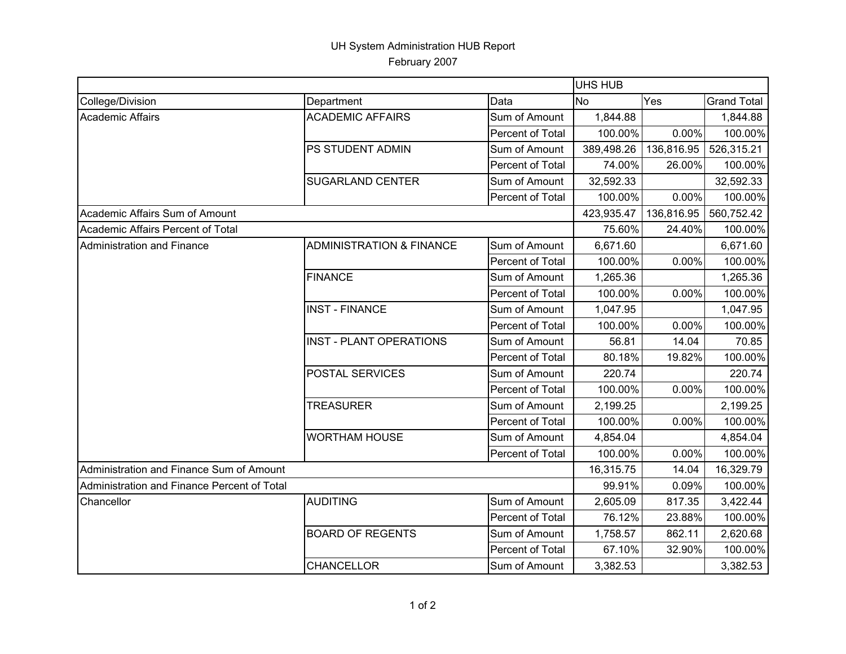## UH System Administration HUB Report February 2007

|                                             |                                     |                  | <b>UHS HUB</b> |            |                    |  |
|---------------------------------------------|-------------------------------------|------------------|----------------|------------|--------------------|--|
| College/Division                            | Department                          | Data             | <b>No</b>      | Yes        | <b>Grand Total</b> |  |
| <b>Academic Affairs</b>                     | <b>ACADEMIC AFFAIRS</b>             | Sum of Amount    | 1,844.88       |            | 1,844.88           |  |
|                                             |                                     | Percent of Total | 100.00%        | $0.00\%$   | 100.00%            |  |
|                                             | PS STUDENT ADMIN                    | Sum of Amount    | 389,498.26     | 136,816.95 | 526,315.21         |  |
|                                             |                                     | Percent of Total | 74.00%         | 26.00%     | 100.00%            |  |
|                                             | <b>SUGARLAND CENTER</b>             | Sum of Amount    | 32,592.33      |            | 32,592.33          |  |
|                                             |                                     | Percent of Total | 100.00%        | 0.00%      | 100.00%            |  |
| Academic Affairs Sum of Amount              |                                     |                  | 423,935.47     | 136,816.95 | 560,752.42         |  |
| Academic Affairs Percent of Total           |                                     |                  | 75.60%         | 24.40%     | 100.00%            |  |
| Administration and Finance                  | <b>ADMINISTRATION &amp; FINANCE</b> | Sum of Amount    | 6,671.60       |            | 6,671.60           |  |
|                                             |                                     | Percent of Total | 100.00%        | 0.00%      | 100.00%            |  |
|                                             | <b>FINANCE</b>                      | Sum of Amount    | 1,265.36       |            | 1,265.36           |  |
|                                             |                                     | Percent of Total | 100.00%        | 0.00%      | 100.00%            |  |
|                                             | <b>INST - FINANCE</b>               | Sum of Amount    | 1,047.95       |            | 1,047.95           |  |
|                                             |                                     | Percent of Total | 100.00%        | 0.00%      | 100.00%            |  |
|                                             | <b>INST - PLANT OPERATIONS</b>      | Sum of Amount    | 56.81          | 14.04      | 70.85              |  |
|                                             |                                     | Percent of Total | 80.18%         | 19.82%     | 100.00%            |  |
|                                             | POSTAL SERVICES                     | Sum of Amount    | 220.74         |            | 220.74             |  |
|                                             |                                     | Percent of Total | 100.00%        | 0.00%      | 100.00%            |  |
|                                             | <b>TREASURER</b>                    | Sum of Amount    | 2,199.25       |            | 2,199.25           |  |
|                                             |                                     | Percent of Total | 100.00%        | 0.00%      | 100.00%            |  |
|                                             | <b>WORTHAM HOUSE</b>                | Sum of Amount    | 4,854.04       |            | 4,854.04           |  |
|                                             |                                     | Percent of Total | 100.00%        | 0.00%      | 100.00%            |  |
| Administration and Finance Sum of Amount    |                                     |                  | 16,315.75      | 14.04      | 16,329.79          |  |
| Administration and Finance Percent of Total |                                     |                  | 99.91%         | 0.09%      | 100.00%            |  |
| Chancellor                                  | <b>AUDITING</b>                     | Sum of Amount    | 2,605.09       | 817.35     | 3,422.44           |  |
|                                             |                                     | Percent of Total | 76.12%         | 23.88%     | 100.00%            |  |
|                                             | <b>BOARD OF REGENTS</b>             | Sum of Amount    | 1,758.57       | 862.11     | 2,620.68           |  |
|                                             |                                     | Percent of Total | 67.10%         | 32.90%     | 100.00%            |  |
|                                             | <b>CHANCELLOR</b>                   | Sum of Amount    | 3,382.53       |            | 3,382.53           |  |